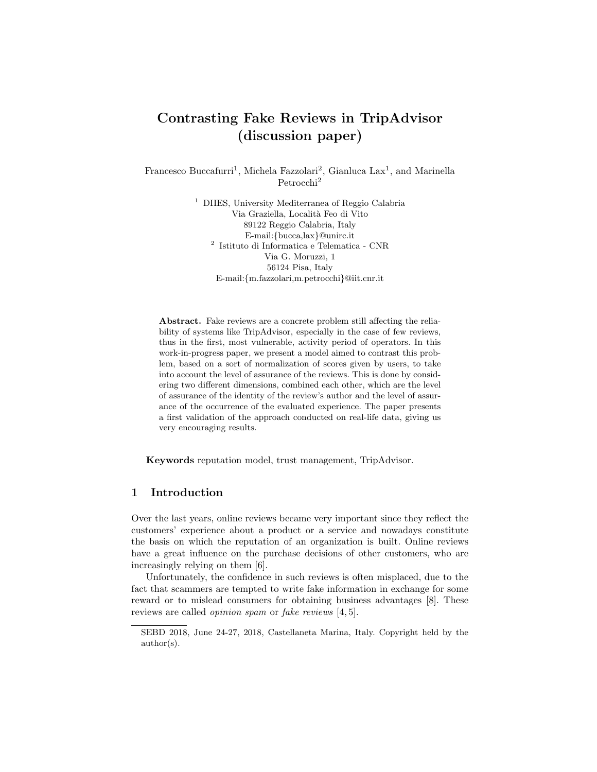# Contrasting Fake Reviews in TripAdvisor (discussion paper)

Francesco Buccafurri<sup>1</sup>, Michela Fazzolari<sup>2</sup>, Gianluca Lax<sup>1</sup>, and Marinella Petrocchi<sup>2</sup>

> <sup>1</sup> DIIES, University Mediterranea of Reggio Calabria Via Graziella, Localit`a Feo di Vito 89122 Reggio Calabria, Italy E-mail:{bucca,lax}@unirc.it 2 Istituto di Informatica e Telematica - CNR Via G. Moruzzi, 1 56124 Pisa, Italy E-mail:{m.fazzolari,m.petrocchi}@iit.cnr.it

Abstract. Fake reviews are a concrete problem still affecting the reliability of systems like TripAdvisor, especially in the case of few reviews, thus in the first, most vulnerable, activity period of operators. In this work-in-progress paper, we present a model aimed to contrast this problem, based on a sort of normalization of scores given by users, to take into account the level of assurance of the reviews. This is done by considering two different dimensions, combined each other, which are the level of assurance of the identity of the review's author and the level of assurance of the occurrence of the evaluated experience. The paper presents a first validation of the approach conducted on real-life data, giving us very encouraging results.

Keywords reputation model, trust management, TripAdvisor.

# 1 Introduction

Over the last years, online reviews became very important since they reflect the customers' experience about a product or a service and nowadays constitute the basis on which the reputation of an organization is built. Online reviews have a great influence on the purchase decisions of other customers, who are increasingly relying on them [6].

Unfortunately, the confidence in such reviews is often misplaced, due to the fact that scammers are tempted to write fake information in exchange for some reward or to mislead consumers for obtaining business advantages [8]. These reviews are called opinion spam or fake reviews [4, 5].

SEBD 2018, June 24-27, 2018, Castellaneta Marina, Italy. Copyright held by the author(s).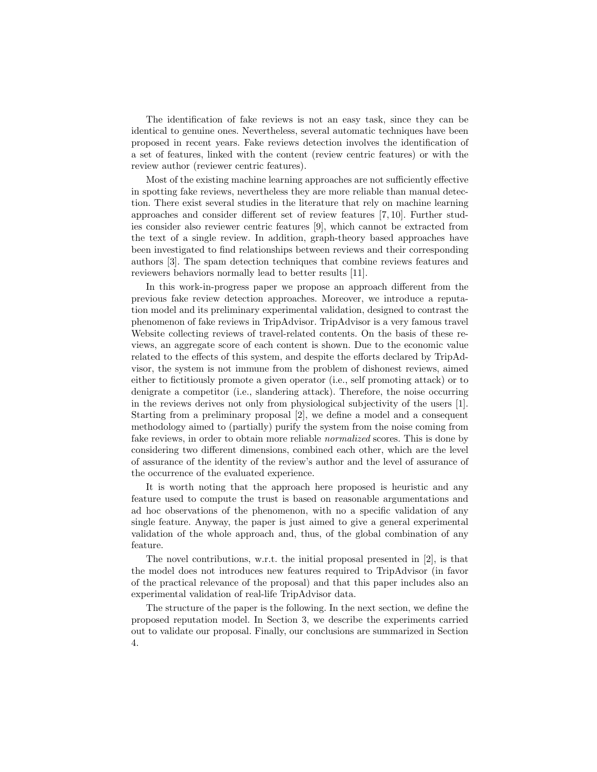The identification of fake reviews is not an easy task, since they can be identical to genuine ones. Nevertheless, several automatic techniques have been proposed in recent years. Fake reviews detection involves the identification of a set of features, linked with the content (review centric features) or with the review author (reviewer centric features).

Most of the existing machine learning approaches are not sufficiently effective in spotting fake reviews, nevertheless they are more reliable than manual detection. There exist several studies in the literature that rely on machine learning approaches and consider different set of review features [7, 10]. Further studies consider also reviewer centric features [9], which cannot be extracted from the text of a single review. In addition, graph-theory based approaches have been investigated to find relationships between reviews and their corresponding authors [3]. The spam detection techniques that combine reviews features and reviewers behaviors normally lead to better results [11].

In this work-in-progress paper we propose an approach different from the previous fake review detection approaches. Moreover, we introduce a reputation model and its preliminary experimental validation, designed to contrast the phenomenon of fake reviews in TripAdvisor. TripAdvisor is a very famous travel Website collecting reviews of travel-related contents. On the basis of these reviews, an aggregate score of each content is shown. Due to the economic value related to the effects of this system, and despite the efforts declared by TripAdvisor, the system is not immune from the problem of dishonest reviews, aimed either to fictitiously promote a given operator (i.e., self promoting attack) or to denigrate a competitor (i.e., slandering attack). Therefore, the noise occurring in the reviews derives not only from physiological subjectivity of the users [1]. Starting from a preliminary proposal [2], we define a model and a consequent methodology aimed to (partially) purify the system from the noise coming from fake reviews, in order to obtain more reliable normalized scores. This is done by considering two different dimensions, combined each other, which are the level of assurance of the identity of the review's author and the level of assurance of the occurrence of the evaluated experience.

It is worth noting that the approach here proposed is heuristic and any feature used to compute the trust is based on reasonable argumentations and ad hoc observations of the phenomenon, with no a specific validation of any single feature. Anyway, the paper is just aimed to give a general experimental validation of the whole approach and, thus, of the global combination of any feature.

The novel contributions, w.r.t. the initial proposal presented in [2], is that the model does not introduces new features required to TripAdvisor (in favor of the practical relevance of the proposal) and that this paper includes also an experimental validation of real-life TripAdvisor data.

The structure of the paper is the following. In the next section, we define the proposed reputation model. In Section 3, we describe the experiments carried out to validate our proposal. Finally, our conclusions are summarized in Section 4.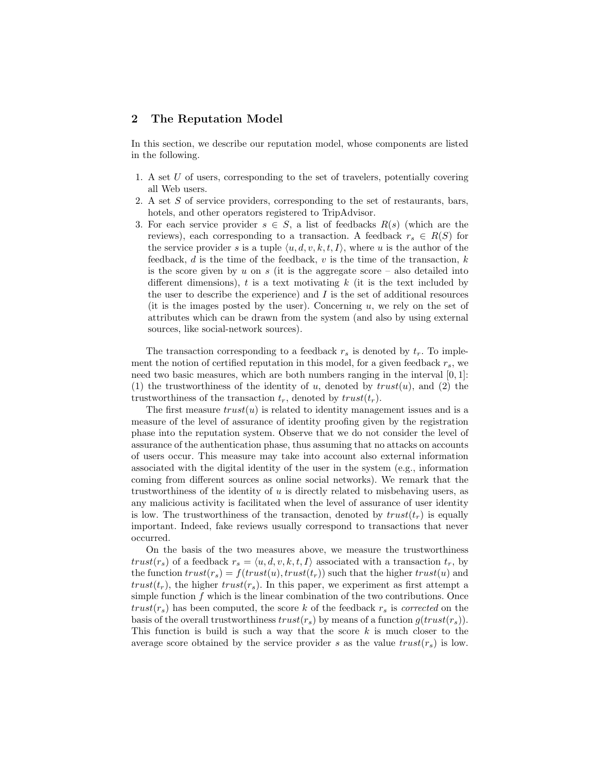# 2 The Reputation Model

In this section, we describe our reputation model, whose components are listed in the following.

- 1. A set U of users, corresponding to the set of travelers, potentially covering all Web users.
- 2. A set S of service providers, corresponding to the set of restaurants, bars, hotels, and other operators registered to TripAdvisor.
- 3. For each service provider  $s \in S$ , a list of feedbacks  $R(s)$  (which are the reviews), each corresponding to a transaction. A feedback  $r_s \in R(S)$  for the service provider s is a tuple  $\langle u, d, v, k, t, I \rangle$ , where u is the author of the feedback, d is the time of the feedback, v is the time of the transaction, k is the score given by  $u$  on  $s$  (it is the aggregate score – also detailed into different dimensions),  $t$  is a text motivating  $k$  (it is the text included by the user to describe the experience) and  $I$  is the set of additional resources (it is the images posted by the user). Concerning  $u$ , we rely on the set of attributes which can be drawn from the system (and also by using external sources, like social-network sources).

The transaction corresponding to a feedback  $r_s$  is denoted by  $t_r$ . To implement the notion of certified reputation in this model, for a given feedback  $r_s$ , we need two basic measures, which are both numbers ranging in the interval  $[0, 1]$ : (1) the trustworthiness of the identity of u, denoted by  $trust(u)$ , and (2) the trustworthiness of the transaction  $t_r$ , denoted by  $trust(t_r)$ .

The first measure  $trust(u)$  is related to identity management issues and is a measure of the level of assurance of identity proofing given by the registration phase into the reputation system. Observe that we do not consider the level of assurance of the authentication phase, thus assuming that no attacks on accounts of users occur. This measure may take into account also external information associated with the digital identity of the user in the system (e.g., information coming from different sources as online social networks). We remark that the trustworthiness of the identity of  $u$  is directly related to misbehaving users, as any malicious activity is facilitated when the level of assurance of user identity is low. The trustworthiness of the transaction, denoted by  $trust(t<sub>r</sub>)$  is equally important. Indeed, fake reviews usually correspond to transactions that never occurred.

On the basis of the two measures above, we measure the trustworthiness trust( $r_s$ ) of a feedback  $r_s = \langle u, d, v, k, t, I \rangle$  associated with a transaction  $t_r$ , by the function  $trust(r_s) = f(trust(u), trust(t_r))$  such that the higher  $trust(u)$  and trust( $t_r$ ), the higher trust( $r_s$ ). In this paper, we experiment as first attempt a simple function  $f$  which is the linear combination of the two contributions. Once  $trust(r<sub>s</sub>)$  has been computed, the score k of the feedback  $r<sub>s</sub>$  is corrected on the basis of the overall trustworthiness  $trust(r<sub>s</sub>)$  by means of a function  $g(trust(r<sub>s</sub>))$ . This function is build is such a way that the score  $k$  is much closer to the average score obtained by the service provider s as the value  $trust(r<sub>s</sub>)$  is low.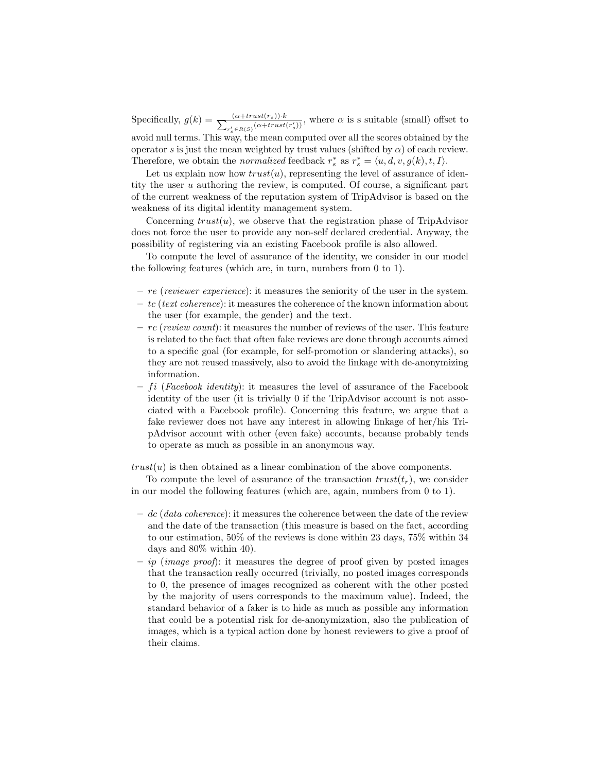Specifically,  $g(k) = \frac{(a+trust(r_s))\cdot k}{\sum_{s' \in B(S)} (a+trust)}$  $\frac{(\alpha + trust(r_s)) \cdot k}{(n + trust(r'_s))}$ , where  $\alpha$  is s suitable (small) offset to avoid null terms. This way, the mean computed over all the scores obtained by the

operator s is just the mean weighted by trust values (shifted by  $\alpha$ ) of each review. Therefore, we obtain the *normalized* feedback  $r_s^*$  as  $r_s^* = \langle u, d, v, g(k), t, I \rangle$ .

Let us explain now how  $trust(u)$ , representing the level of assurance of identity the user u authoring the review, is computed. Of course, a significant part of the current weakness of the reputation system of TripAdvisor is based on the weakness of its digital identity management system.

Concerning  $trust(u)$ , we observe that the registration phase of TripAdvisor does not force the user to provide any non-self declared credential. Anyway, the possibility of registering via an existing Facebook profile is also allowed.

To compute the level of assurance of the identity, we consider in our model the following features (which are, in turn, numbers from 0 to 1).

- $-$  re (reviewer experience): it measures the seniority of the user in the system.
- $-tc$  (text coherence): it measures the coherence of the known information about the user (for example, the gender) and the text.
- $-$  rc (review count): it measures the number of reviews of the user. This feature is related to the fact that often fake reviews are done through accounts aimed to a specific goal (for example, for self-promotion or slandering attacks), so they are not reused massively, also to avoid the linkage with de-anonymizing information.
- $fi$  (Facebook identity): it measures the level of assurance of the Facebook identity of the user (it is trivially 0 if the TripAdvisor account is not associated with a Facebook profile). Concerning this feature, we argue that a fake reviewer does not have any interest in allowing linkage of her/his TripAdvisor account with other (even fake) accounts, because probably tends to operate as much as possible in an anonymous way.

 $trust(u)$  is then obtained as a linear combination of the above components.

To compute the level of assurance of the transaction  $trust(t_r)$ , we consider in our model the following features (which are, again, numbers from 0 to 1).

- $-\,dc$  (data coherence): it measures the coherence between the date of the review and the date of the transaction (this measure is based on the fact, according to our estimation, 50% of the reviews is done within 23 days, 75% within 34 days and 80% within 40).
- $-$  ip (image proof): it measures the degree of proof given by posted images that the transaction really occurred (trivially, no posted images corresponds to 0, the presence of images recognized as coherent with the other posted by the majority of users corresponds to the maximum value). Indeed, the standard behavior of a faker is to hide as much as possible any information that could be a potential risk for de-anonymization, also the publication of images, which is a typical action done by honest reviewers to give a proof of their claims.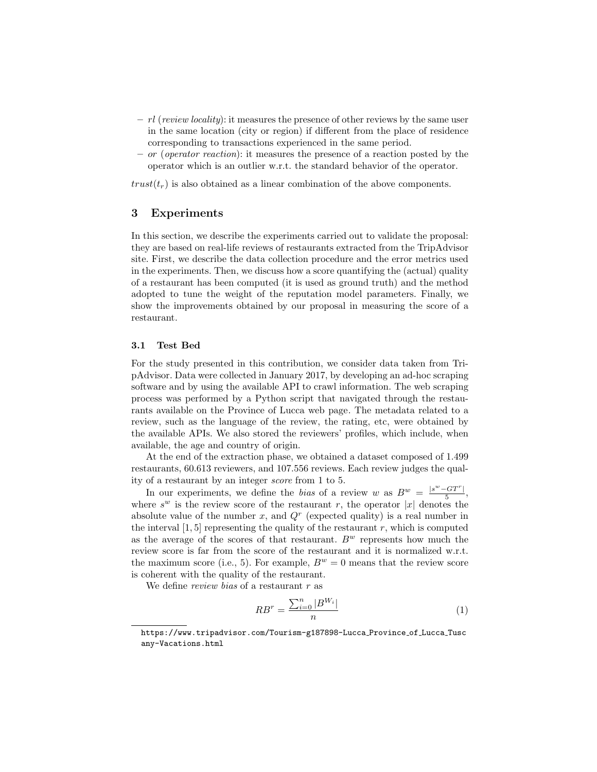- $-rl$  (review locality): it measures the presence of other reviews by the same user in the same location (city or region) if different from the place of residence corresponding to transactions experienced in the same period.
- or (operator reaction): it measures the presence of a reaction posted by the operator which is an outlier w.r.t. the standard behavior of the operator.

 $trust(t<sub>r</sub>)$  is also obtained as a linear combination of the above components.

# 3 Experiments

In this section, we describe the experiments carried out to validate the proposal: they are based on real-life reviews of restaurants extracted from the TripAdvisor site. First, we describe the data collection procedure and the error metrics used in the experiments. Then, we discuss how a score quantifying the (actual) quality of a restaurant has been computed (it is used as ground truth) and the method adopted to tune the weight of the reputation model parameters. Finally, we show the improvements obtained by our proposal in measuring the score of a restaurant.

#### 3.1 Test Bed

For the study presented in this contribution, we consider data taken from TripAdvisor. Data were collected in January 2017, by developing an ad-hoc scraping software and by using the available API to crawl information. The web scraping process was performed by a Python script that navigated through the restaurants available on the Province of Lucca web page. The metadata related to a review, such as the language of the review, the rating, etc, were obtained by the available APIs. We also stored the reviewers' profiles, which include, when available, the age and country of origin.

At the end of the extraction phase, we obtained a dataset composed of 1.499 restaurants, 60.613 reviewers, and 107.556 reviews. Each review judges the quality of a restaurant by an integer score from 1 to 5.

In our experiments, we define the bias of a review w as  $B^w = \frac{|s^w - GT^r|}{5}$  $\frac{1}{5}$ , where  $s^w$  is the review score of the restaurant r, the operator |x| denotes the absolute value of the number x, and  $Q<sup>r</sup>$  (expected quality) is a real number in the interval  $[1, 5]$  representing the quality of the restaurant r, which is computed as the average of the scores of that restaurant.  $B^w$  represents how much the review score is far from the score of the restaurant and it is normalized w.r.t. the maximum score (i.e., 5). For example,  $B^w = 0$  means that the review score is coherent with the quality of the restaurant.

We define *review bias* of a restaurant r as

$$
RB^r = \frac{\sum_{i=0}^n |B^{W_i}|}{n} \tag{1}
$$

https://www.tripadvisor.com/Tourism-g187898-Lucca Province of Lucca Tusc any-Vacations.html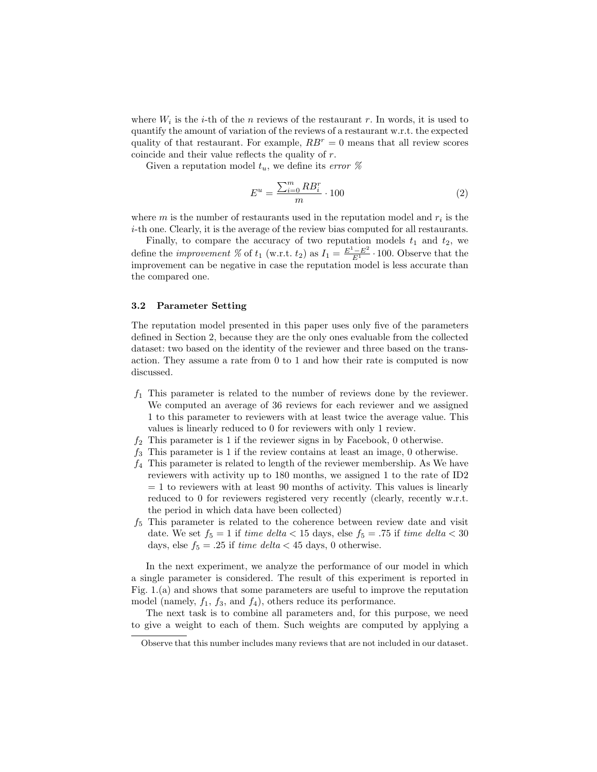where  $W_i$  is the *i*-th of the *n* reviews of the restaurant *r*. In words, it is used to quantify the amount of variation of the reviews of a restaurant w.r.t. the expected quality of that restaurant. For example,  $RB<sup>r</sup> = 0$  means that all review scores coincide and their value reflects the quality of r.

Given a reputation model  $t_u$ , we define its error %

$$
E^{u} = \frac{\sum_{i=0}^{m} RB_{i}^{r}}{m} \cdot 100
$$
 (2)

where  $m$  is the number of restaurants used in the reputation model and  $r_i$  is the i-th one. Clearly, it is the average of the review bias computed for all restaurants.

Finally, to compare the accuracy of two reputation models  $t_1$  and  $t_2$ , we define the *improvement* % of  $t_1$  (w.r.t.  $t_2$ ) as  $I_1 = \frac{E^1 - E^2}{E^1} \cdot 100$ . Observe that the improvement can be negative in case the reputation model is less accurate than the compared one.

#### 3.2 Parameter Setting

The reputation model presented in this paper uses only five of the parameters defined in Section 2, because they are the only ones evaluable from the collected dataset: two based on the identity of the reviewer and three based on the transaction. They assume a rate from 0 to 1 and how their rate is computed is now discussed.

- $f_1$  This parameter is related to the number of reviews done by the reviewer. We computed an average of 36 reviews for each reviewer and we assigned 1 to this parameter to reviewers with at least twice the average value. This values is linearly reduced to 0 for reviewers with only 1 review.
- $f_2$  This parameter is 1 if the reviewer signs in by Facebook, 0 otherwise.
- $f_3$  This parameter is 1 if the review contains at least an image, 0 otherwise.
- $f_4$  This parameter is related to length of the reviewer membership. As We have reviewers with activity up to 180 months, we assigned 1 to the rate of ID2  $= 1$  to reviewers with at least 90 months of activity. This values is linearly reduced to 0 for reviewers registered very recently (clearly, recently w.r.t. the period in which data have been collected)
- $f<sub>5</sub>$  This parameter is related to the coherence between review date and visit date. We set  $f_5 = 1$  if time delta  $< 15$  days, else  $f_5 = .75$  if time delta  $< 30$ days, else  $f_5 = .25$  if time delta < 45 days, 0 otherwise.

In the next experiment, we analyze the performance of our model in which a single parameter is considered. The result of this experiment is reported in Fig. 1.(a) and shows that some parameters are useful to improve the reputation model (namely,  $f_1$ ,  $f_3$ , and  $f_4$ ), others reduce its performance.

The next task is to combine all parameters and, for this purpose, we need to give a weight to each of them. Such weights are computed by applying a

Observe that this number includes many reviews that are not included in our dataset.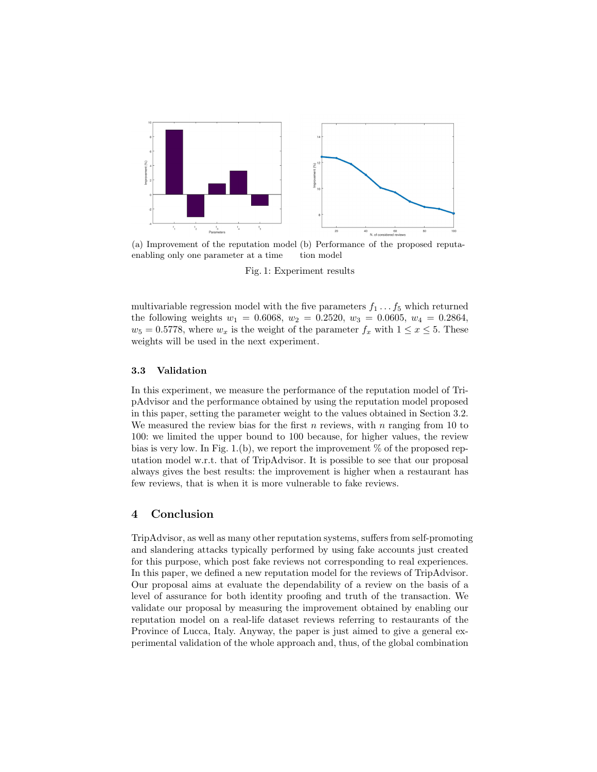

(a) Improvement of the reputation model (b) Performance of the proposed reputaenabling only one parameter at a time tion model

Fig. 1: Experiment results

multivariable regression model with the five parameters  $f_1 \ldots f_5$  which returned the following weights  $w_1 = 0.6068$ ,  $w_2 = 0.2520$ ,  $w_3 = 0.0605$ ,  $w_4 = 0.2864$ ,  $w_5 = 0.5778$ , where  $w_x$  is the weight of the parameter  $f_x$  with  $1 \le x \le 5$ . These weights will be used in the next experiment.

#### 3.3 Validation

In this experiment, we measure the performance of the reputation model of TripAdvisor and the performance obtained by using the reputation model proposed in this paper, setting the parameter weight to the values obtained in Section 3.2. We measured the review bias for the first n reviews, with n ranging from 10 to 100: we limited the upper bound to 100 because, for higher values, the review bias is very low. In Fig. 1.(b), we report the improvement  $\%$  of the proposed reputation model w.r.t. that of TripAdvisor. It is possible to see that our proposal always gives the best results: the improvement is higher when a restaurant has few reviews, that is when it is more vulnerable to fake reviews.

# 4 Conclusion

TripAdvisor, as well as many other reputation systems, suffers from self-promoting and slandering attacks typically performed by using fake accounts just created for this purpose, which post fake reviews not corresponding to real experiences. In this paper, we defined a new reputation model for the reviews of TripAdvisor. Our proposal aims at evaluate the dependability of a review on the basis of a level of assurance for both identity proofing and truth of the transaction. We validate our proposal by measuring the improvement obtained by enabling our reputation model on a real-life dataset reviews referring to restaurants of the Province of Lucca, Italy. Anyway, the paper is just aimed to give a general experimental validation of the whole approach and, thus, of the global combination